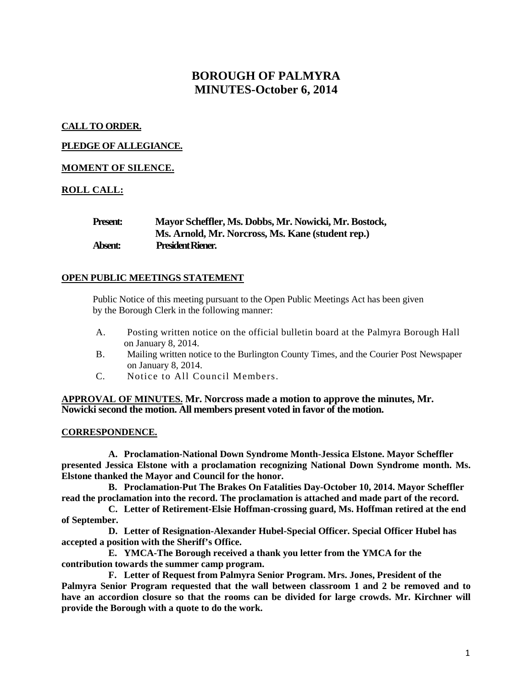# **BOROUGH OF PALMYRA MINUTES-October 6, 2014**

## **CALL TO ORDER.**

## **PLEDGE OF ALLEGIANCE.**

## **MOMENT OF SILENCE.**

# **ROLL CALL:**

| Present: | Mayor Scheffler, Ms. Dobbs, Mr. Nowicki, Mr. Bostock, |
|----------|-------------------------------------------------------|
|          | Ms. Arnold, Mr. Norcross, Ms. Kane (student rep.)     |
| Absent:  | <b>President Riener.</b>                              |

## **OPEN PUBLIC MEETINGS STATEMENT**

Public Notice of this meeting pursuant to the Open Public Meetings Act has been given by the Borough Clerk in the following manner:

- A. Posting written notice on the official bulletin board at the Palmyra Borough Hall on January 8, 2014.
- B. Mailing written notice to the Burlington County Times, and the Courier Post Newspaper on January 8, 2014.
- C. Notice to All Council Members.

## **APPROVAL OF MINUTES. Mr. Norcross made a motion to approve the minutes, Mr. Nowicki second the motion. All members present voted in favor of the motion.**

## **CORRESPONDENCE.**

**A. Proclamation-National Down Syndrome Month-Jessica Elstone. Mayor Scheffler presented Jessica Elstone with a proclamation recognizing National Down Syndrome month. Ms. Elstone thanked the Mayor and Council for the honor.** 

**B. Proclamation-Put The Brakes On Fatalities Day-October 10, 2014. Mayor Scheffler read the proclamation into the record. The proclamation is attached and made part of the record.**

**C. Letter of Retirement-Elsie Hoffman-crossing guard, Ms. Hoffman retired at the end of September.** 

**D. Letter of Resignation-Alexander Hubel-Special Officer. Special Officer Hubel has accepted a position with the Sheriff's Office.**

**E. YMCA-The Borough received a thank you letter from the YMCA for the contribution towards the summer camp program.**

**F. Letter of Request from Palmyra Senior Program. Mrs. Jones, President of the Palmyra Senior Program requested that the wall between classroom 1 and 2 be removed and to have an accordion closure so that the rooms can be divided for large crowds. Mr. Kirchner will provide the Borough with a quote to do the work.**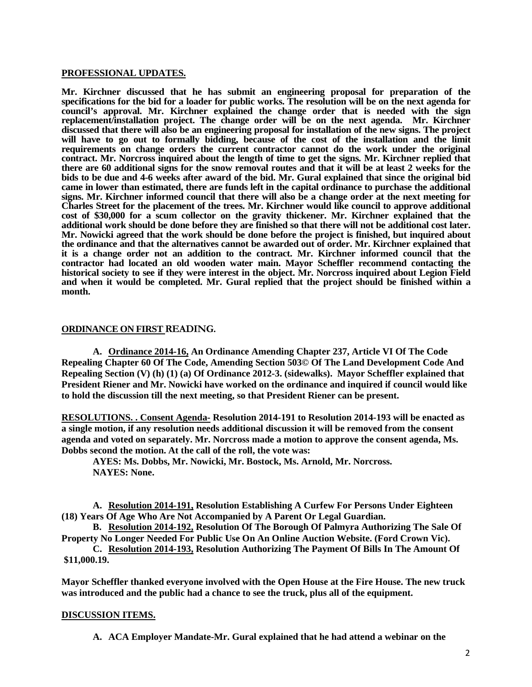#### **PROFESSIONAL UPDATES.**

**Mr. Kirchner discussed that he has submit an engineering proposal for preparation of the specifications for the bid for a loader for public works. The resolution will be on the next agenda for council's approval. Mr. Kirchner explained the change order that is needed with the sign replacement/installation project. The change order will be on the next agenda. Mr. Kirchner discussed that there will also be an engineering proposal for installation of the new signs. The project will have to go out to formally bidding, because of the cost of the installation and the limit requirements on change orders the current contractor cannot do the work under the original contract. Mr. Norcross inquired about the length of time to get the signs. Mr. Kirchner replied that there are 60 additional signs for the snow removal routes and that it will be at least 2 weeks for the bids to be due and 4-6 weeks after award of the bid. Mr. Gural explained that since the original bid came in lower than estimated, there are funds left in the capital ordinance to purchase the additional signs. Mr. Kirchner informed council that there will also be a change order at the next meeting for Charles Street for the placement of the trees. Mr. Kirchner would like council to approve additional cost of \$30,000 for a scum collector on the gravity thickener. Mr. Kirchner explained that the additional work should be done before they are finished so that there will not be additional cost later. Mr. Nowicki agreed that the work should be done before the project is finished, but inquired about the ordinance and that the alternatives cannot be awarded out of order. Mr. Kirchner explained that it is a change order not an addition to the contract. Mr. Kirchner informed council that the contractor had located an old wooden water main. Mayor Scheffler recommend contacting the historical society to see if they were interest in the object. Mr. Norcross inquired about Legion Field and when it would be completed. Mr. Gural replied that the project should be finished within a month.** 

#### **ORDINANCE ON FIRST READING.**

**A. Ordinance 2014-16, An Ordinance Amending Chapter 237, Article VI Of The Code Repealing Chapter 60 Of The Code, Amending Section 503© Of The Land Development Code And Repealing Section (V) (h) (1) (a) Of Ordinance 2012-3. (sidewalks). Mayor Scheffler explained that President Riener and Mr. Nowicki have worked on the ordinance and inquired if council would like to hold the discussion till the next meeting, so that President Riener can be present.** 

**RESOLUTIONS. . Consent Agenda- Resolution 2014-191 to Resolution 2014-193 will be enacted as a single motion, if any resolution needs additional discussion it will be removed from the consent agenda and voted on separately. Mr. Norcross made a motion to approve the consent agenda, Ms. Dobbs second the motion. At the call of the roll, the vote was:**

**AYES: Ms. Dobbs, Mr. Nowicki, Mr. Bostock, Ms. Arnold, Mr. Norcross. NAYES: None.** 

**A. Resolution 2014-191, Resolution Establishing A Curfew For Persons Under Eighteen (18) Years Of Age Who Are Not Accompanied by A Parent Or Legal Guardian.** 

**B. Resolution 2014-192, Resolution Of The Borough Of Palmyra Authorizing The Sale Of Property No Longer Needed For Public Use On An Online Auction Website. (Ford Crown Vic).**

**C. Resolution 2014-193, Resolution Authorizing The Payment Of Bills In The Amount Of \$11,000.19.**

**Mayor Scheffler thanked everyone involved with the Open House at the Fire House. The new truck was introduced and the public had a chance to see the truck, plus all of the equipment.** 

#### **DISCUSSION ITEMS.**

**A. ACA Employer Mandate-Mr. Gural explained that he had attend a webinar on the**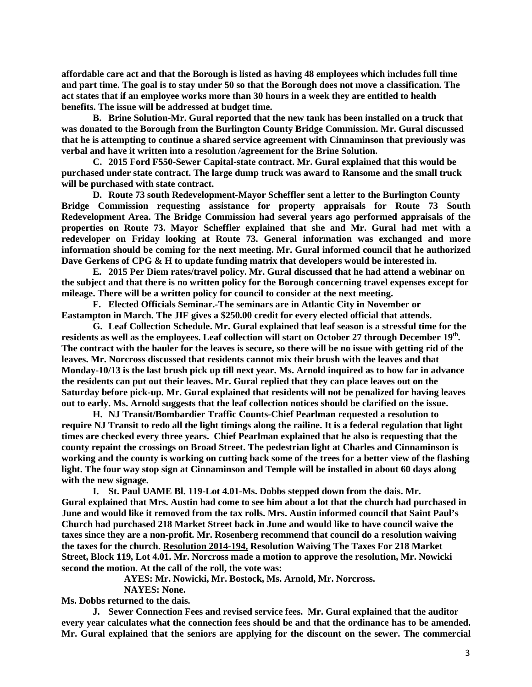**affordable care act and that the Borough is listed as having 48 employees which includes full time and part time. The goal is to stay under 50 so that the Borough does not move a classification. The act states that if an employee works more than 30 hours in a week they are entitled to health benefits. The issue will be addressed at budget time.**

**B. Brine Solution-Mr. Gural reported that the new tank has been installed on a truck that was donated to the Borough from the Burlington County Bridge Commission. Mr. Gural discussed that he is attempting to continue a shared service agreement with Cinnaminson that previously was verbal and have it written into a resolution /agreement for the Brine Solution.** 

**C. 2015 Ford F550-Sewer Capital-state contract. Mr. Gural explained that this would be purchased under state contract. The large dump truck was award to Ransome and the small truck will be purchased with state contract.** 

**D. Route 73 south Redevelopment-Mayor Scheffler sent a letter to the Burlington County Bridge Commission requesting assistance for property appraisals for Route 73 South Redevelopment Area. The Bridge Commission had several years ago performed appraisals of the properties on Route 73. Mayor Scheffler explained that she and Mr. Gural had met with a redeveloper on Friday looking at Route 73. General information was exchanged and more information should be coming for the next meeting. Mr. Gural informed council that he authorized Dave Gerkens of CPG & H to update funding matrix that developers would be interested in.** 

**E. 2015 Per Diem rates/travel policy. Mr. Gural discussed that he had attend a webinar on the subject and that there is no written policy for the Borough concerning travel expenses except for mileage. There will be a written policy for council to consider at the next meeting.** 

**F. Elected Officials Seminar.-The seminars are in Atlantic City in November or Eastampton in March. The JIF gives a \$250.00 credit for every elected official that attends.** 

**G. Leaf Collection Schedule. Mr. Gural explained that leaf season is a stressful time for the** residents as well as the employees. Leaf collection will start on October 27 through December 19<sup>th</sup>. **The contract with the hauler for the leaves is secure, so there will be no issue with getting rid of the leaves. Mr. Norcross discussed that residents cannot mix their brush with the leaves and that Monday-10/13 is the last brush pick up till next year. Ms. Arnold inquired as to how far in advance the residents can put out their leaves. Mr. Gural replied that they can place leaves out on the Saturday before pick-up. Mr. Gural explained that residents will not be penalized for having leaves out to early. Ms. Arnold suggests that the leaf collection notices should be clarified on the issue.** 

**H. NJ Transit/Bombardier Traffic Counts-Chief Pearlman requested a resolution to require NJ Transit to redo all the light timings along the railine. It is a federal regulation that light times are checked every three years. Chief Pearlman explained that he also is requesting that the county repaint the crossings on Broad Street. The pedestrian light at Charles and Cinnaminson is working and the county is working on cutting back some of the trees for a better view of the flashing light. The four way stop sign at Cinnaminson and Temple will be installed in about 60 days along with the new signage.** 

**I. St. Paul UAME Bl. 119-Lot 4.01-Ms. Dobbs stepped down from the dais. Mr. Gural explained that Mrs. Austin had come to see him about a lot that the church had purchased in June and would like it removed from the tax rolls. Mrs. Austin informed council that Saint Paul's Church had purchased 218 Market Street back in June and would like to have council waive the taxes since they are a non-profit. Mr. Rosenberg recommend that council do a resolution waiving the taxes for the church. Resolution 2014-194, Resolution Waiving The Taxes For 218 Market Street, Block 119, Lot 4.01. Mr. Norcross made a motion to approve the resolution, Mr. Nowicki second the motion. At the call of the roll, the vote was:**

**AYES: Mr. Nowicki, Mr. Bostock, Ms. Arnold, Mr. Norcross.**

**NAYES: None.** 

**Ms. Dobbs returned to the dais.** 

**J. Sewer Connection Fees and revised service fees. Mr. Gural explained that the auditor every year calculates what the connection fees should be and that the ordinance has to be amended. Mr. Gural explained that the seniors are applying for the discount on the sewer. The commercial**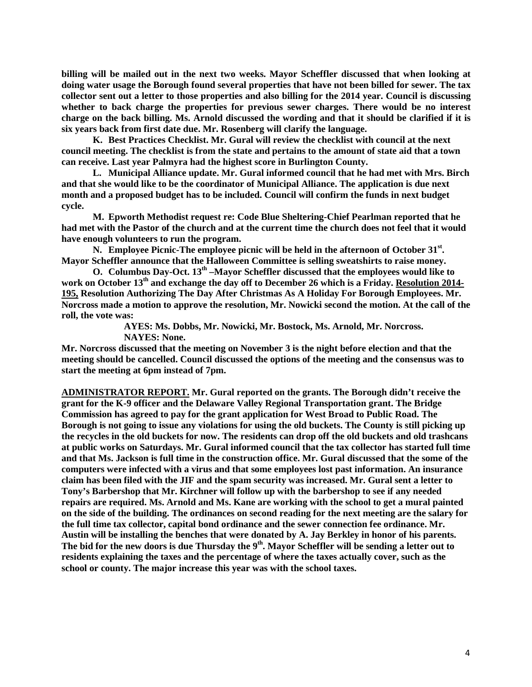**billing will be mailed out in the next two weeks. Mayor Scheffler discussed that when looking at doing water usage the Borough found several properties that have not been billed for sewer. The tax collector sent out a letter to those properties and also billing for the 2014 year. Council is discussing whether to back charge the properties for previous sewer charges. There would be no interest charge on the back billing. Ms. Arnold discussed the wording and that it should be clarified if it is six years back from first date due. Mr. Rosenberg will clarify the language.**

**K. Best Practices Checklist. Mr. Gural will review the checklist with council at the next council meeting. The checklist is from the state and pertains to the amount of state aid that a town can receive. Last year Palmyra had the highest score in Burlington County.**

**L. Municipal Alliance update. Mr. Gural informed council that he had met with Mrs. Birch and that she would like to be the coordinator of Municipal Alliance. The application is due next month and a proposed budget has to be included. Council will confirm the funds in next budget cycle.** 

**M. Epworth Methodist request re: Code Blue Sheltering-Chief Pearlman reported that he had met with the Pastor of the church and at the current time the church does not feel that it would have enough volunteers to run the program.** 

N. **Employee Picnic-The employee picnic will be held in the afternoon of October 31<sup>st</sup>. Mayor Scheffler announce that the Halloween Committee is selling sweatshirts to raise money.** 

**O. Columbus Day-Oct. 13th –Mayor Scheffler discussed that the employees would like to work on October 13th and exchange the day off to December 26 which is a Friday. Resolution 2014- 195, Resolution Authorizing The Day After Christmas As A Holiday For Borough Employees. Mr. Norcross made a motion to approve the resolution, Mr. Nowicki second the motion. At the call of the roll, the vote was:**

> **AYES: Ms. Dobbs, Mr. Nowicki, Mr. Bostock, Ms. Arnold, Mr. Norcross. NAYES: None.**

**Mr. Norcross discussed that the meeting on November 3 is the night before election and that the meeting should be cancelled. Council discussed the options of the meeting and the consensus was to start the meeting at 6pm instead of 7pm.**

**ADMINISTRATOR REPORT. Mr. Gural reported on the grants. The Borough didn't receive the grant for the K-9 officer and the Delaware Valley Regional Transportation grant. The Bridge Commission has agreed to pay for the grant application for West Broad to Public Road. The Borough is not going to issue any violations for using the old buckets. The County is still picking up the recycles in the old buckets for now. The residents can drop off the old buckets and old trashcans at public works on Saturdays. Mr. Gural informed council that the tax collector has started full time and that Ms. Jackson is full time in the construction office. Mr. Gural discussed that the some of the computers were infected with a virus and that some employees lost past information. An insurance claim has been filed with the JIF and the spam security was increased. Mr. Gural sent a letter to Tony's Barbershop that Mr. Kirchner will follow up with the barbershop to see if any needed repairs are required. Ms. Arnold and Ms. Kane are working with the school to get a mural painted on the side of the building. The ordinances on second reading for the next meeting are the salary for the full time tax collector, capital bond ordinance and the sewer connection fee ordinance. Mr. Austin will be installing the benches that were donated by A. Jay Berkley in honor of his parents. The bid for the new doors is due Thursday the 9th. Mayor Scheffler will be sending a letter out to residents explaining the taxes and the percentage of where the taxes actually cover, such as the school or county. The major increase this year was with the school taxes.**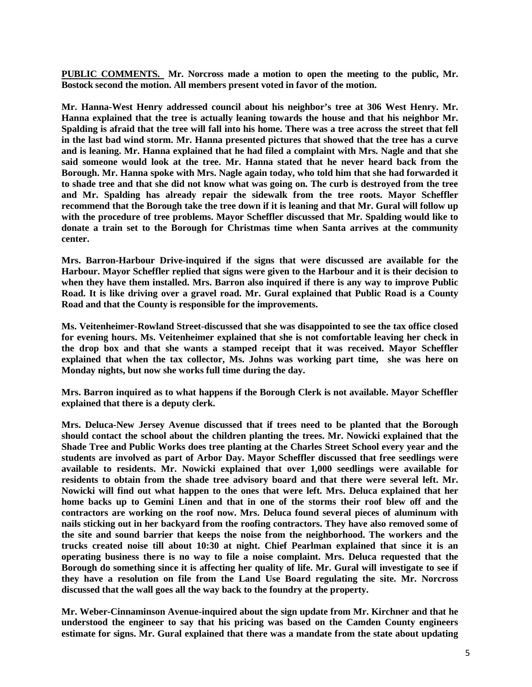**PUBLIC COMMENTS. Mr. Norcross made a motion to open the meeting to the public, Mr. Bostock second the motion. All members present voted in favor of the motion.**

**Mr. Hanna-West Henry addressed council about his neighbor's tree at 306 West Henry. Mr. Hanna explained that the tree is actually leaning towards the house and that his neighbor Mr. Spalding is afraid that the tree will fall into his home. There was a tree across the street that fell in the last bad wind storm. Mr. Hanna presented pictures that showed that the tree has a curve and is leaning. Mr. Hanna explained that he had filed a complaint with Mrs. Nagle and that she said someone would look at the tree. Mr. Hanna stated that he never heard back from the Borough. Mr. Hanna spoke with Mrs. Nagle again today, who told him that she had forwarded it to shade tree and that she did not know what was going on. The curb is destroyed from the tree and Mr. Spalding has already repair the sidewalk from the tree roots. Mayor Scheffler recommend that the Borough take the tree down if it is leaning and that Mr. Gural will follow up with the procedure of tree problems. Mayor Scheffler discussed that Mr. Spalding would like to donate a train set to the Borough for Christmas time when Santa arrives at the community center.** 

**Mrs. Barron-Harbour Drive-inquired if the signs that were discussed are available for the Harbour. Mayor Scheffler replied that signs were given to the Harbour and it is their decision to when they have them installed. Mrs. Barron also inquired if there is any way to improve Public Road. It is like driving over a gravel road. Mr. Gural explained that Public Road is a County Road and that the County is responsible for the improvements.** 

**Ms. Veitenheimer-Rowland Street-discussed that she was disappointed to see the tax office closed for evening hours. Ms. Veitenheimer explained that she is not comfortable leaving her check in the drop box and that she wants a stamped receipt that it was received. Mayor Scheffler explained that when the tax collector, Ms. Johns was working part time, she was here on Monday nights, but now she works full time during the day.** 

**Mrs. Barron inquired as to what happens if the Borough Clerk is not available. Mayor Scheffler explained that there is a deputy clerk.** 

**Mrs. Deluca-New Jersey Avenue discussed that if trees need to be planted that the Borough should contact the school about the children planting the trees. Mr. Nowicki explained that the Shade Tree and Public Works does tree planting at the Charles Street School every year and the students are involved as part of Arbor Day. Mayor Scheffler discussed that free seedlings were available to residents. Mr. Nowicki explained that over 1,000 seedlings were available for residents to obtain from the shade tree advisory board and that there were several left. Mr. Nowicki will find out what happen to the ones that were left. Mrs. Deluca explained that her home backs up to Gemini Linen and that in one of the storms their roof blew off and the contractors are working on the roof now. Mrs. Deluca found several pieces of aluminum with nails sticking out in her backyard from the roofing contractors. They have also removed some of the site and sound barrier that keeps the noise from the neighborhood. The workers and the trucks created noise till about 10:30 at night. Chief Pearlman explained that since it is an operating business there is no way to file a noise complaint. Mrs. Deluca requested that the Borough do something since it is affecting her quality of life. Mr. Gural will investigate to see if they have a resolution on file from the Land Use Board regulating the site. Mr. Norcross discussed that the wall goes all the way back to the foundry at the property.** 

**Mr. Weber-Cinnaminson Avenue-inquired about the sign update from Mr. Kirchner and that he understood the engineer to say that his pricing was based on the Camden County engineers estimate for signs. Mr. Gural explained that there was a mandate from the state about updating**